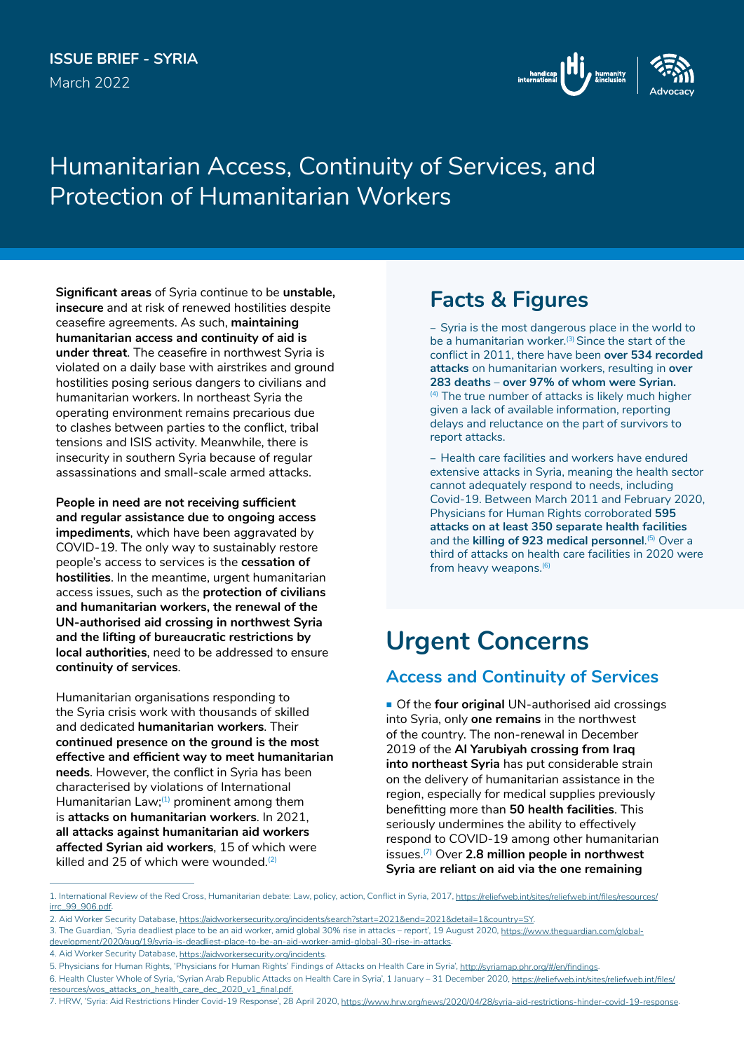### **ISSUE BRIEF - SYRIA** March 2022



# Humanitarian Access, Continuity of Services, and Protection of Humanitarian Workers

**Significant areas** of Syria continue to be **unstable, insecure** and at risk of renewed hostilities despite ceasefire agreements. As such, **maintaining humanitarian access and continuity of aid is under threat**. The ceasefire in northwest Syria is violated on a daily base with airstrikes and ground hostilities posing serious dangers to civilians and humanitarian workers. In northeast Syria the operating environment remains precarious due to clashes between parties to the conflict, tribal tensions and ISIS activity. Meanwhile, there is insecurity in southern Syria because of regular assassinations and small-scale armed attacks.

**People in need are not receiving sufficient and regular assistance due to ongoing access impediments**, which have been aggravated by COVID-19. The only way to sustainably restore people's access to services is the **cessation of hostilities**. In the meantime, urgent humanitarian access issues, such as the **protection of civilians and humanitarian workers, the renewal of the UN-authorised aid crossing in northwest Syria and the lifting of bureaucratic restrictions by local authorities**, need to be addressed to ensure **continuity of services**.

Humanitarian organisations responding to the Syria crisis work with thousands of skilled and dedicated **humanitarian workers**. Their **continued presence on the ground is the most effective and efficient way to meet humanitarian needs**. However, the conflict in Syria has been characterised by violations of International Humanitarian Law; $(1)$  prominent among them is **attacks on humanitarian workers**. In 2021, **all attacks against humanitarian aid workers affected Syrian aid workers**, 15 of which were killed and 25 of which were wounded. $(2)$ 

## **Facts & Figures**

– Syria is the most dangerous place in the world to be a humanitarian worker.<sup>(3)</sup> Since the start of the conflict in 2011, there have been **over 534 recorded attacks** on humanitarian workers, resulting in **over 283 deaths** – **over 97% of whom were Syrian.**  $(4)$  The true number of attacks is likely much higher given a lack of available information, reporting delays and reluctance on the part of survivors to report attacks.

– Health care facilities and workers have endured extensive attacks in Syria, meaning the health sector cannot adequately respond to needs, including Covid-19. Between March 2011 and February 2020, Physicians for Human Rights corroborated **595 attacks on at least 350 separate health facilities** and the **killing of 923 medical personnel**.<sup>[5]</sup> Over a third of attacks on health care facilities in 2020 were from heavy weapons.<sup>(6)</sup>

# **Urgent Concerns**

### **Access and Continuity of Services**

 Of the **four original** UN-authorised aid crossings into Syria, only **one remains** in the northwest of the country. The non-renewal in December 2019 of the **Al Yarubiyah crossing from Iraq into northeast Syria** has put considerable strain on the delivery of humanitarian assistance in the region, especially for medical supplies previously benefitting more than **50 health facilities**. This seriously undermines the ability to effectively respond to COVID-19 among other humanitarian issues.(7) Over **2.8 million people in northwest Syria are reliant on aid via the one remaining** 

4. Aid Worker Security Database, <https://aidworkersecurity.org/incidents>.

<sup>1.</sup> International Review of the Red Cross, Humanitarian debate: Law, policy, action, Conflict in Syria, 2017, [https://reliefweb.int/sites/reliefweb.int/files/resources/](https://reliefweb.int/sites/reliefweb.int/files/resources/irrc_99_906.pdf) [irrc\\_99\\_906.pdf](https://reliefweb.int/sites/reliefweb.int/files/resources/irrc_99_906.pdf).

<sup>2.</sup> Aid Worker Security Database, <https://aidworkersecurity.org/incidents/search?start=2021&end=2021&detail=1&country=SY>.

<sup>3.</sup> The Guardian, 'Syria deadliest place to be an aid worker, amid global 30% rise in attacks – report', 19 August 2020, https://www.thequardian.com/qlobal[development/2020/aug/19/syria-is-deadliest-place-to-be-an-aid-worker-amid-global-30-rise-in-attacks](https://www.theguardian.com/global-development/2020/aug/19/syria-is-deadliest-place-to-be-an-aid-worker-amid-global-30-rise-in-attacks).

<sup>5.</sup> Physicians for Human Rights, 'Physicians for Human Rights' Findings of Attacks on Health Care in Syria',<http://syriamap.phr.org/#/en/findings>.

<sup>6.</sup> Health Cluster Whole of Syria, 'Syrian Arab Republic Attacks on Health Care in Syria', 1 January - 31 December 2020, [https://reliefweb.int/sites/reliefweb.int/files/](https://reliefweb.int/sites/reliefweb.int/files/resources/wos_attacks_on_health_care_dec_2020_v1_final.pdf) [resources/wos\\_attacks\\_on\\_health\\_care\\_dec\\_2020\\_v1\\_final.pdf](https://reliefweb.int/sites/reliefweb.int/files/resources/wos_attacks_on_health_care_dec_2020_v1_final.pdf).

<sup>7.</sup> HRW, 'Syria: Aid Restrictions Hinder Covid-19 Response', 28 April 2020,<https://www.hrw.org/news/2020/04/28/syria-aid-restrictions-hinder-covid-19-response>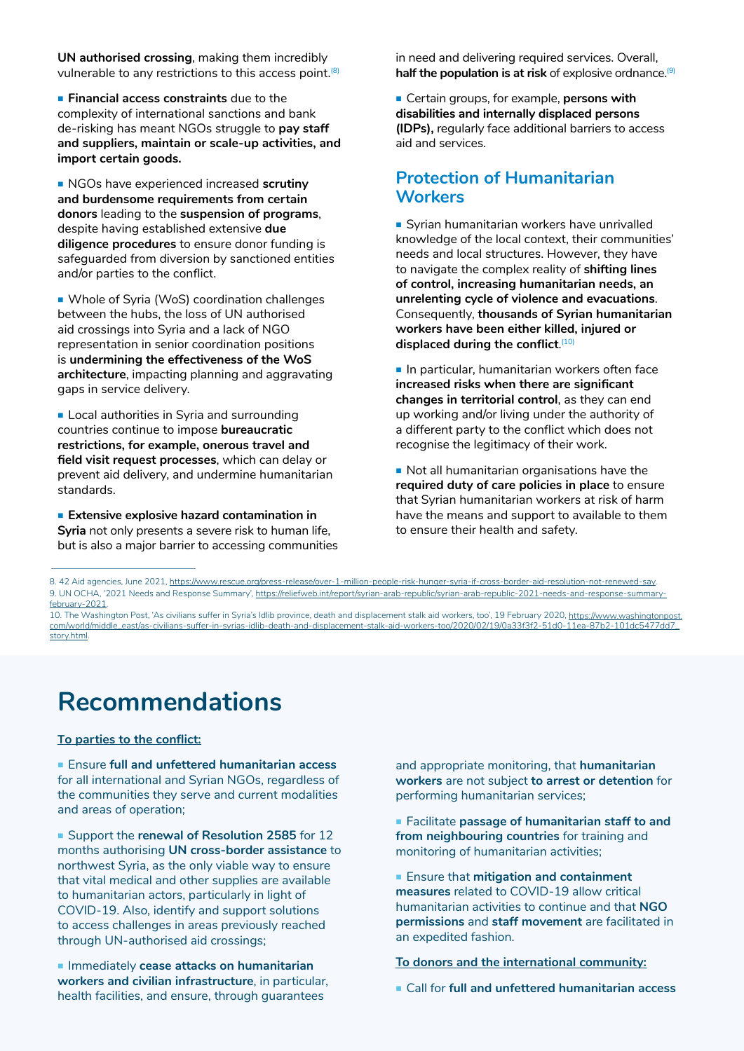**UN authorised crossing**, making them incredibly vulnerable to any restrictions to this access point.<sup>(8)</sup>

**Financial access constraints** due to the complexity of international sanctions and bank de-risking has meant NGOs struggle to **pay staff and suppliers, maintain or scale-up activities, and import certain goods.**

 NGOs have experienced increased **scrutiny and burdensome requirements from certain donors** leading to the **suspension of programs**, despite having established extensive **due diligence procedures** to ensure donor funding is safeguarded from diversion by sanctioned entities and/or parties to the conflict.

 Whole of Syria (WoS) coordination challenges between the hubs, the loss of UN authorised aid crossings into Syria and a lack of NGO representation in senior coordination positions is **undermining the effectiveness of the WoS architecture**, impacting planning and aggravating gaps in service delivery.

**Local authorities in Syria and surrounding** countries continue to impose **bureaucratic restrictions, for example, onerous travel and field visit request processes**, which can delay or prevent aid delivery, and undermine humanitarian standards.

 **Extensive explosive hazard contamination in Syria** not only presents a severe risk to human life, but is also a major barrier to accessing communities in need and delivering required services. Overall, half the population is at risk of explosive ordnance.<sup>(9)</sup>

 Certain groups, for example, **persons with disabilities and internally displaced persons (IDPs),** regularly face additional barriers to access aid and services.

### **Protection of Humanitarian Workers**

Syrian humanitarian workers have unrivalled knowledge of the local context, their communities' needs and local structures. However, they have to navigate the complex reality of **shifting lines of control, increasing humanitarian needs, an unrelenting cycle of violence and evacuations**. Consequently, **thousands of Syrian humanitarian workers have been either killed, injured or**  displaced during the conflict.<sup>(10)</sup>

 $\blacksquare$  In particular, humanitarian workers often face **increased risks when there are significant changes in territorial control**, as they can end up working and/or living under the authority of a different party to the conflict which does not recognise the legitimacy of their work.

Not all humanitarian organisations have the **required duty of care policies in place** to ensure that Syrian humanitarian workers at risk of harm have the means and support to available to them to ensure their health and safety.

8. 42 Aid agencies, June 2021, <https://www.rescue.org/press-release/over-1-million-people-risk-hunger-syria-if-cross-border-aid-resolution-not-renewed-say>. 9. UN OCHA, '2021 Needs and Response Summary', https://reliefweb.int/report/syrian-arab-republic/syrian-arab-republic-2021-needs-and-response-summaryfebruary-2021.

10. The Washington Post, 'As civilians suffer in Syria's Idlib province, death and displacement stalk aid workers, too', 19 February 2020, [https://www.washingtonpost.](https://www.washingtonpost.com/world/middle_east/as-civilians-suffer-in-syrias-idlib-death-and-displ) [com/world/middle\\_east/as-civilians-suffer-in-syrias-idlib-death-and-displacement-stalk-aid-workers-too/2020/02/19/0a33f3f2-51d0-11ea-87b2-101dc5477dd7\\_](https://www.washingtonpost.com/world/middle_east/as-civilians-suffer-in-syrias-idlib-death-and-displ) [story.html](https://www.washingtonpost.com/world/middle_east/as-civilians-suffer-in-syrias-idlib-death-and-displ).

# **Recommendations**

#### **To parties to the conflict:**

 Ensure **full and unfettered humanitarian access** for all international and Syrian NGOs, regardless of the communities they serve and current modalities and areas of operation;

**Support the renewal of Resolution 2585** for 12 months authorising **UN cross-border assistance** to northwest Syria, as the only viable way to ensure that vital medical and other supplies are available to humanitarian actors, particularly in light of COVID-19. Also, identify and support solutions to access challenges in areas previously reached through UN-authorised aid crossings;

**Immediately cease attacks on humanitarian workers and civilian infrastructure**, in particular, health facilities, and ensure, through guarantees

and appropriate monitoring, that **humanitarian workers** are not subject **to arrest or detention** for performing humanitarian services;

 Facilitate **passage of humanitarian staff to and from neighbouring countries** for training and monitoring of humanitarian activities;

 Ensure that **mitigation and containment measures** related to COVID-19 allow critical humanitarian activities to continue and that **NGO permissions** and **staff movement** are facilitated in an expedited fashion.

**To donors and the international community:**

Call for **full and unfettered humanitarian access**